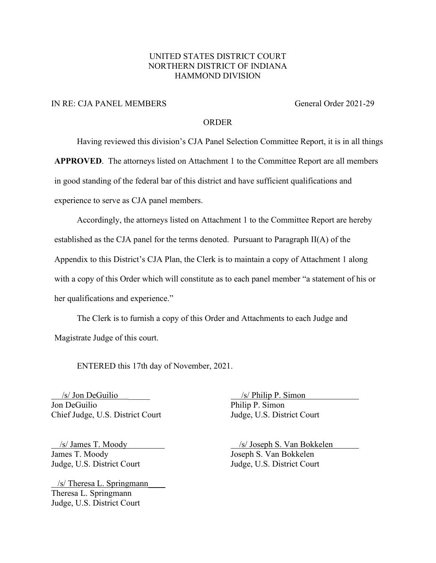### UNITED STATES DISTRICT COURT NORTHERN DISTRICT OF INDIANA HAMMOND DIVISION

### IN RE: CJA PANEL MEMBERS General Order 2021-29

#### ORDER

Having reviewed this division's CJA Panel Selection Committee Report, it is in all things

**APPROVED**. The attorneys listed on Attachment 1 to the Committee Report are all members

in good standing of the federal bar of this district and have sufficient qualifications and

experience to serve as CJA panel members.

Accordingly, the attorneys listed on Attachment 1 to the Committee Report are hereby established as the CJA panel for the terms denoted. Pursuant to Paragraph II(A) of the Appendix to this District's CJA Plan, the Clerk is to maintain a copy of Attachment 1 along with a copy of this Order which will constitute as to each panel member "a statement of his or her qualifications and experience."

The Clerk is to furnish a copy of this Order and Attachments to each Judge and Magistrate Judge of this court.

ENTERED this 17th day of November, 2021.

 $\sqrt{s}$  Jon DeGuilio  $\sqrt{s}$  Philip P. Simon Jon DeGuilio Philip P. Simon Chief Judge, U.S. District Court Judge, U.S. District Court

James T. Moody Joseph S. Van Bokkelen

 /s/ Theresa L. Springmann\_\_\_\_ Theresa L. Springmann Judge, U.S. District Court

 /s/ James T. Moody /s/ Joseph S. Van Bokkelen Judge, U.S. District Court Judge, U.S. District Court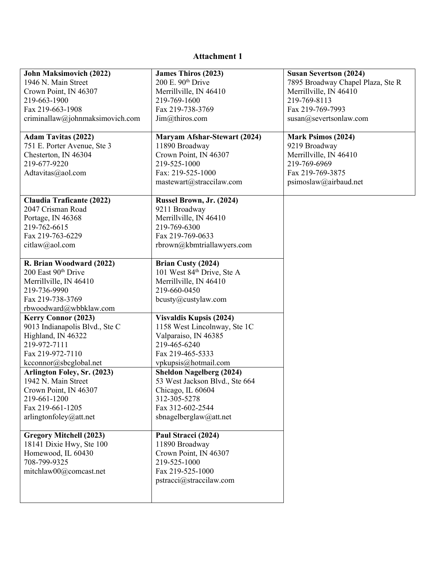# **Attachment 1**

| John Maksimovich (2022)          | <b>James Thiros (2023)</b>             | <b>Susan Severtson (2024)</b>     |
|----------------------------------|----------------------------------------|-----------------------------------|
| 1946 N. Main Street              | 200 E. 90th Drive                      | 7895 Broadway Chapel Plaza, Ste R |
| Crown Point, IN 46307            | Merrillville, IN 46410                 | Merrillville, IN 46410            |
| 219-663-1900                     | 219-769-1600                           | 219-769-8113                      |
| Fax 219-663-1908                 | Fax 219-738-3769                       | Fax 219-769-7993                  |
| criminallaw@johnmaksimovich.com  | Jim@thiros.com                         | susan@severtsonlaw.com            |
|                                  |                                        |                                   |
| <b>Adam Tavitas (2022)</b>       | <b>Maryam Afshar-Stewart (2024)</b>    | <b>Mark Psimos (2024)</b>         |
| 751 E. Porter Avenue, Ste 3      | 11890 Broadway                         | 9219 Broadway                     |
| Chesterton, IN 46304             | Crown Point, IN 46307                  | Merrillville, IN 46410            |
| 219-677-9220                     | 219-525-1000                           | 219-769-6969                      |
| Adtavitas@aol.com                | Fax: 219-525-1000                      | Fax 219-769-3875                  |
|                                  | mastewart@straccilaw.com               | psimoslaw@airbaud.net             |
|                                  |                                        |                                   |
| <b>Claudia Traficante (2022)</b> | Russel Brown, Jr. (2024)               |                                   |
| 2047 Crisman Road                | 9211 Broadway                          |                                   |
| Portage, IN 46368                | Merrillville, IN 46410                 |                                   |
| 219-762-6615                     | 219-769-6300                           |                                   |
| Fax 219-763-6229                 | Fax 219-769-0633                       |                                   |
| citlaw@aol.com                   | rbrown@kbmtriallawyers.com             |                                   |
|                                  |                                        |                                   |
| R. Brian Woodward (2022)         | Brian Custy (2024)                     |                                   |
| 200 East 90 <sup>th</sup> Drive  | 101 West 84 <sup>th</sup> Drive, Ste A |                                   |
| Merrillville, IN 46410           | Merrillville, IN 46410                 |                                   |
| 219-736-9990                     | 219-660-0450                           |                                   |
| Fax 219-738-3769                 | bcusty@custylaw.com                    |                                   |
| rbwoodward@wbbklaw.com           |                                        |                                   |
| Kerry Connor (2023)              | <b>Visvaldis Kupsis (2024)</b>         |                                   |
| 9013 Indianapolis Blvd., Ste C   | 1158 West Lincolnway, Ste 1C           |                                   |
| Highland, IN 46322               | Valparaiso, IN 46385                   |                                   |
| 219-972-7111                     | 219-465-6240                           |                                   |
| Fax 219-972-7110                 | Fax 219-465-5333                       |                                   |
| kcconnor@sbcglobal.net           | vpkupsis@hotmail.com                   |                                   |
| Arlington Foley, Sr. (2023)      | <b>Sheldon Nagelberg (2024)</b>        |                                   |
| 1942 N. Main Street              | 53 West Jackson Blvd., Ste 664         |                                   |
| Crown Point, IN 46307            | Chicago, IL 60604                      |                                   |
| 219-661-1200                     | 312-305-5278                           |                                   |
| Fax 219-661-1205                 | Fax 312-602-2544                       |                                   |
| arlingtonfoley@att.net           | sbnagelberglaw@att.net                 |                                   |
|                                  |                                        |                                   |
| <b>Gregory Mitchell (2023)</b>   | Paul Stracci (2024)                    |                                   |
| 18141 Dixie Hwy, Ste 100         | 11890 Broadway                         |                                   |
| Homewood, IL 60430               | Crown Point, IN 46307                  |                                   |
| 708-799-9325                     | 219-525-1000                           |                                   |
| mitchlaw00@comcast.net           | Fax 219-525-1000                       |                                   |
|                                  | pstracci@straccilaw.com                |                                   |
|                                  |                                        |                                   |
|                                  |                                        |                                   |